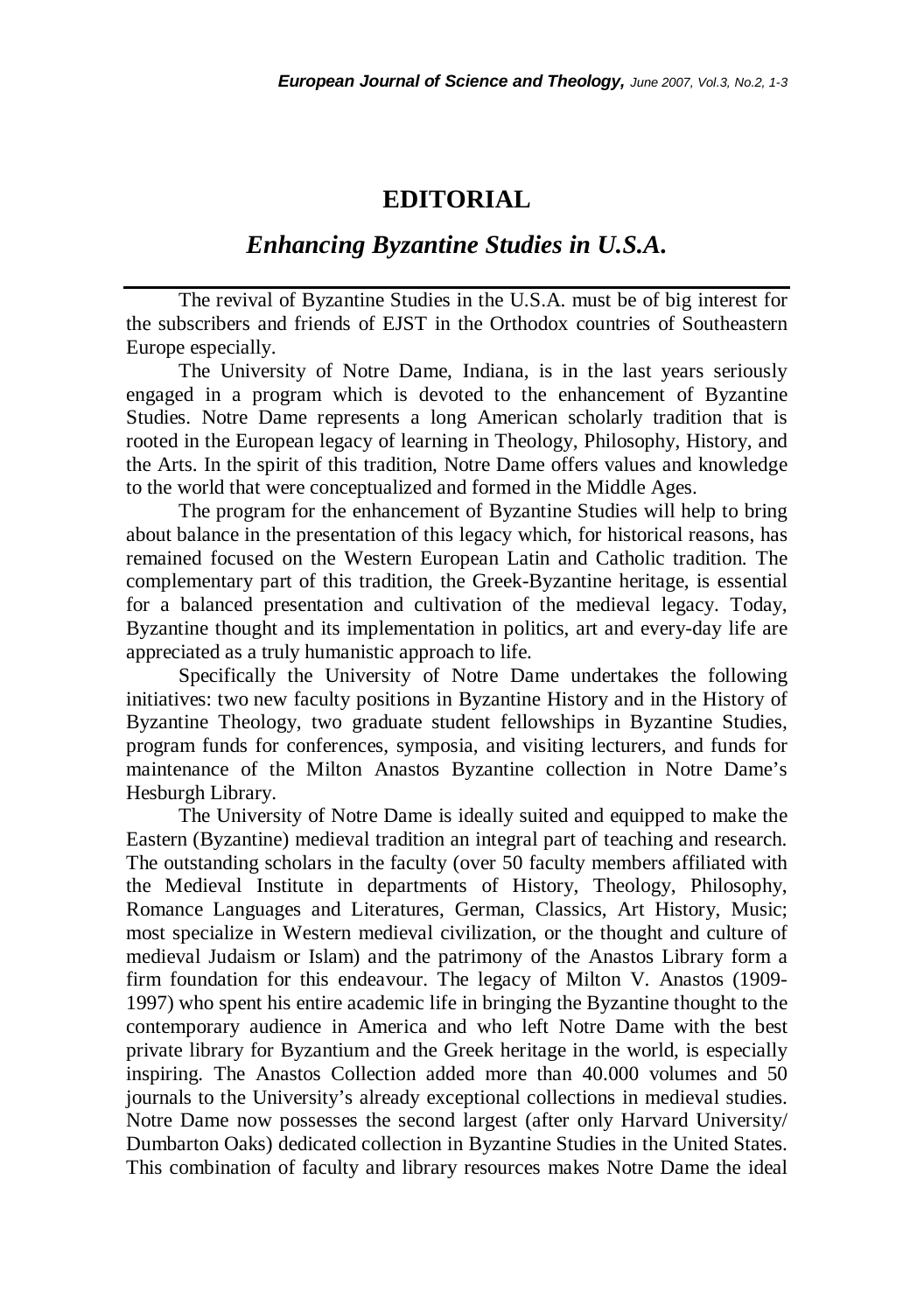## **EDITORIAL**

## *Enhancing Byzantine Studies in U.S.A.*

The revival of Byzantine Studies in the U.S.A. must be of big interest for the subscribers and friends of EJST in the Orthodox countries of Southeastern Europe especially.

The University of Notre Dame, Indiana, is in the last years seriously engaged in a program which is devoted to the enhancement of Byzantine Studies. Notre Dame represents a long American scholarly tradition that is rooted in the European legacy of learning in Theology, Philosophy, History, and the Arts. In the spirit of this tradition, Notre Dame offers values and knowledge to the world that were conceptualized and formed in the Middle Ages.

The program for the enhancement of Byzantine Studies will help to bring about balance in the presentation of this legacy which, for historical reasons, has remained focused on the Western European Latin and Catholic tradition. The complementary part of this tradition, the Greek-Byzantine heritage, is essential for a balanced presentation and cultivation of the medieval legacy. Today, Byzantine thought and its implementation in politics, art and every-day life are appreciated as a truly humanistic approach to life.

Specifically the University of Notre Dame undertakes the following initiatives: two new faculty positions in Byzantine History and in the History of Byzantine Theology, two graduate student fellowships in Byzantine Studies, program funds for conferences, symposia, and visiting lecturers, and funds for maintenance of the Milton Anastos Byzantine collection in Notre Dame's Hesburgh Library.

The University of Notre Dame is ideally suited and equipped to make the Eastern (Byzantine) medieval tradition an integral part of teaching and research. The outstanding scholars in the faculty (over 50 faculty members affiliated with the Medieval Institute in departments of History, Theology, Philosophy, Romance Languages and Literatures, German, Classics, Art History, Music; most specialize in Western medieval civilization, or the thought and culture of medieval Judaism or Islam) and the patrimony of the Anastos Library form a firm foundation for this endeavour. The legacy of Milton V. Anastos (1909- 1997) who spent his entire academic life in bringing the Byzantine thought to the contemporary audience in America and who left Notre Dame with the best private library for Byzantium and the Greek heritage in the world, is especially inspiring. The Anastos Collection added more than 40.000 volumes and 50 journals to the University's already exceptional collections in medieval studies. Notre Dame now possesses the second largest (after only Harvard University/ Dumbarton Oaks) dedicated collection in Byzantine Studies in the United States. This combination of faculty and library resources makes Notre Dame the ideal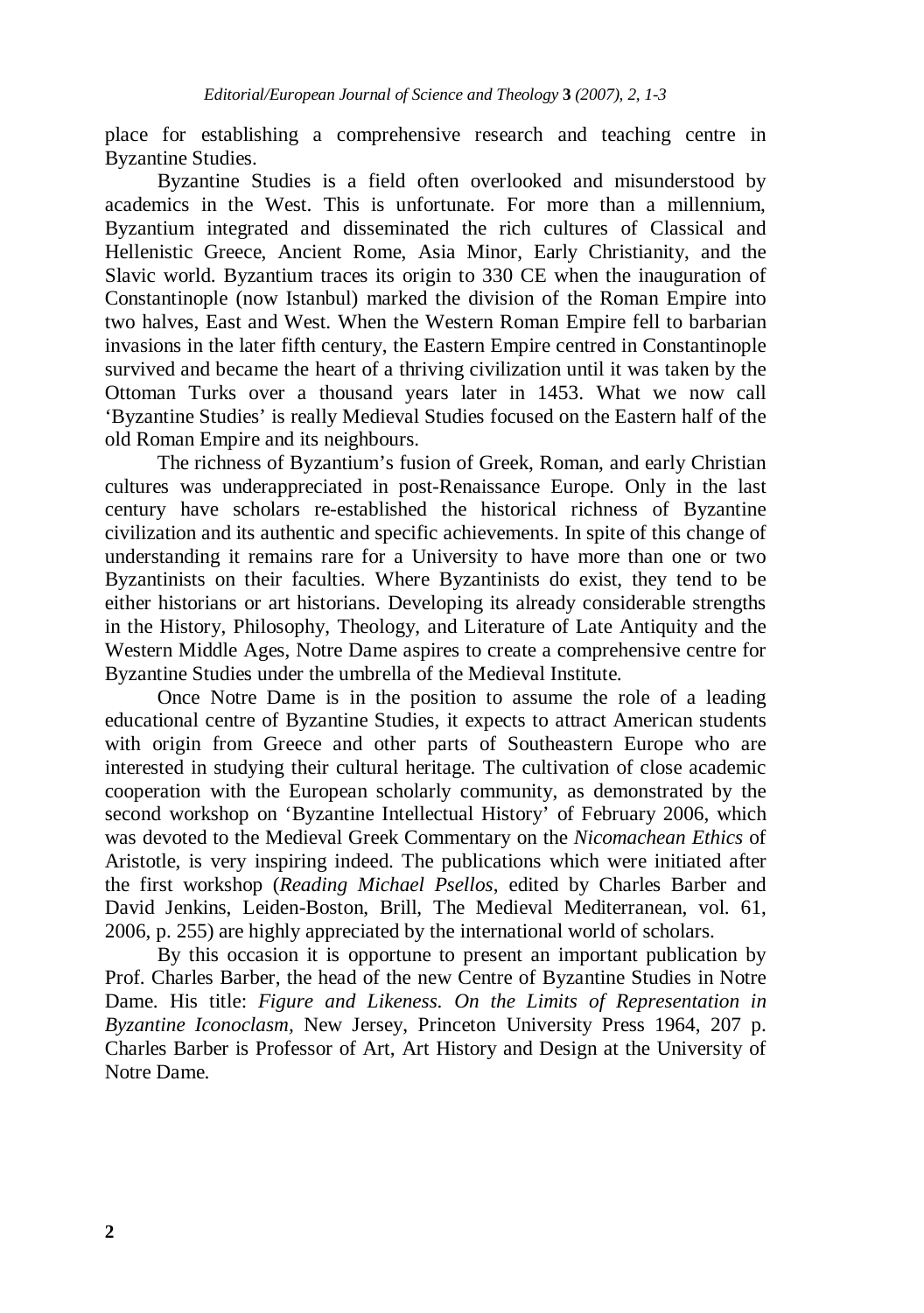place for establishing a comprehensive research and teaching centre in Byzantine Studies.

Byzantine Studies is a field often overlooked and misunderstood by academics in the West. This is unfortunate. For more than a millennium, Byzantium integrated and disseminated the rich cultures of Classical and Hellenistic Greece, Ancient Rome, Asia Minor, Early Christianity, and the Slavic world. Byzantium traces its origin to 330 CE when the inauguration of Constantinople (now Istanbul) marked the division of the Roman Empire into two halves, East and West. When the Western Roman Empire fell to barbarian invasions in the later fifth century, the Eastern Empire centred in Constantinople survived and became the heart of a thriving civilization until it was taken by the Ottoman Turks over a thousand years later in 1453. What we now call 'Byzantine Studies' is really Medieval Studies focused on the Eastern half of the old Roman Empire and its neighbours.

The richness of Byzantium's fusion of Greek, Roman, and early Christian cultures was underappreciated in post-Renaissance Europe. Only in the last century have scholars re-established the historical richness of Byzantine civilization and its authentic and specific achievements. In spite of this change of understanding it remains rare for a University to have more than one or two Byzantinists on their faculties. Where Byzantinists do exist, they tend to be either historians or art historians. Developing its already considerable strengths in the History, Philosophy, Theology, and Literature of Late Antiquity and the Western Middle Ages, Notre Dame aspires to create a comprehensive centre for Byzantine Studies under the umbrella of the Medieval Institute.

Once Notre Dame is in the position to assume the role of a leading educational centre of Byzantine Studies, it expects to attract American students with origin from Greece and other parts of Southeastern Europe who are interested in studying their cultural heritage. The cultivation of close academic cooperation with the European scholarly community, as demonstrated by the second workshop on 'Byzantine Intellectual History' of February 2006, which was devoted to the Medieval Greek Commentary on the *Nicomachean Ethics* of Aristotle, is very inspiring indeed. The publications which were initiated after the first workshop (*Reading Michael Psellos*, edited by Charles Barber and David Jenkins, Leiden-Boston, Brill, The Medieval Mediterranean, vol. 61, 2006, p. 255) are highly appreciated by the international world of scholars.

By this occasion it is opportune to present an important publication by Prof. Charles Barber, the head of the new Centre of Byzantine Studies in Notre Dame. His title: *Figure and Likeness. On the Limits of Representation in Byzantine Iconoclasm,* New Jersey, Princeton University Press 1964, 207 p. Charles Barber is Professor of Art, Art History and Design at the University of Notre Dame.